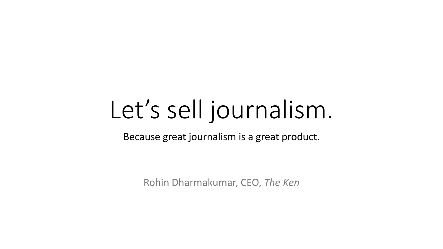# Let's sell journalism.

Because great journalism is a great product.

Rohin Dharmakumar, CEO, *The Ken*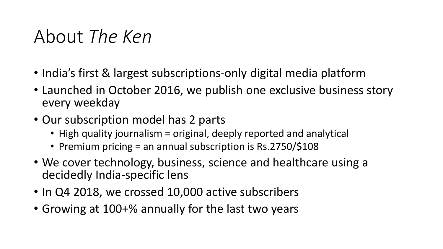### About *The Ken*

- India's first & largest subscriptions-only digital media platform
- Launched in October 2016, we publish one exclusive business story every weekday
- Our subscription model has 2 parts
	- High quality journalism = original, deeply reported and analytical
	- Premium pricing = an annual subscription is Rs.2750/\$108
- We cover technology, business, science and healthcare using a decidedly India-specific lens
- In Q4 2018, we crossed 10,000 active subscribers
- Growing at 100+% annually for the last two years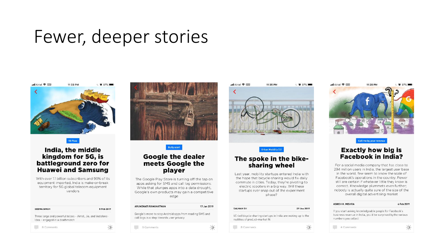### Fewer, deeper stories

ull Airtel 중 (VPN) 11:33 PM



5G Fuss

#### India, the middle kingdom for 5G, is battleground zero for **Huawei and Samsung**

With over 1.1 billion subscribers and 90% of its equipment imported, India is make-or-break territory for 5G global telecom equipment vendors

| <b>SEEMA SINGH</b> |  |  |              |
|--------------------|--|--|--------------|
|                    |  |  |              |
|                    |  |  | and the con- |

Three large and powerful telcos - Airtel, Jio, and Vodafone-Idea - engaged in a deathmatch

5 Feb 2019

 $\phi$ 

6 Comments





#### **Google the dealer** meets Google the player

The Google Play Store is turning off the tap on apps asking for SMS and call log permissions. While that plunges apps into a data drought, Google's own products may gain a competitive edge

| <b>ARUNDHATI RAMANATHAN</b>                                                                         | 17 Jan 2019 |
|-----------------------------------------------------------------------------------------------------|-------------|
| Google's move to stop Android apps from reading SMS and<br>call logs is a step towards user privacy |             |
| 9 Comments                                                                                          |             |

ull Airtel 중 (VPN) 11:35 PM  $6097%$ 



#### The spoke in the bikesharing wheel

Last year, mobility startups entered India with the hope that bicycle-sharing would fix daily commute in cities. Today, they're pivoting to electric scooters in a big way. Will these startups ever snap out of the experiment phase?

| <b>SALMAN SH</b>                                                                                 | 29 Jan 2019 |
|--------------------------------------------------------------------------------------------------|-------------|
| VC-led bicycle-sharing startups in India are waking up to the<br>realities of product-market fit |             |
| 8 Comments                                                                                       |             |



Call me by your revenue

#### **Exactly how big is Facebook in India?**

For a social media company that has close to 294 million users in India, the largest user base in the world, few seem to know the scale of Facebook's operations in the country. Fewer still are certain if whatever little they know is correct. Knowledge plummets even further; nobody is actually quite sure of the size of the overall digital advertising market

#### **ASHISH K. MISHRA**

#### 6 Feb 2019

If you start asking knowledgeable people for Facebook's business revenue in India, you'd be surprised by the various numbers you collect

4 Comments

 $\alpha$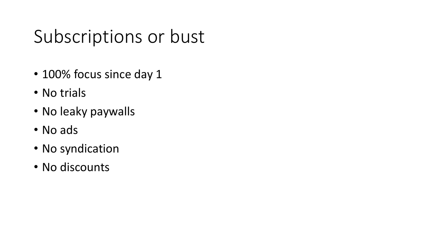## Subscriptions or bust

- 100% focus since day 1
- No trials
- No leaky paywalls
- No ads
- No syndication
- No discounts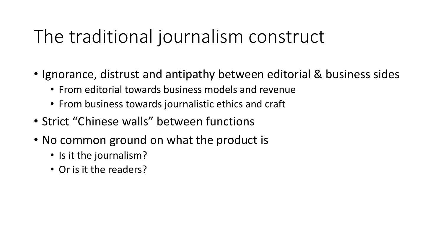## The traditional journalism construct

- Ignorance, distrust and antipathy between editorial & business sides
	- From editorial towards business models and revenue
	- From business towards journalistic ethics and craft
- Strict "Chinese walls" between functions
- No common ground on what the product is
	- Is it the journalism?
	- Or is it the readers?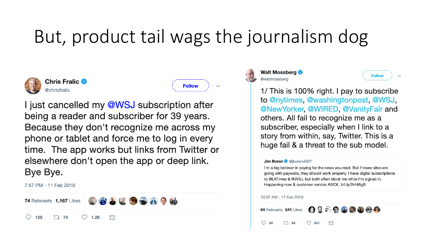## But, product tail wags the journalism dog

 $\checkmark$ 



**Chris Fralic O** @chrisfralic



I just cancelled my @WSJ subscription after being a reader and subscriber for 39 years. Because they don't recognize me across my phone or tablet and force me to log in every time. The app works but links from Twitter or elsewhere don't open the app or deep link. Bye Bye.

7:57 PM - 11 Feb 2019





**Follow**  $\checkmark$ 

1/ This is 100% right. I pay to subscribe to @nytimes, @washingtonpost, @WSJ, @NewYorker, @WIRED, @VanityFair and others. All fail to recognize me as a subscriber, especially when I link to a story from within, say, Twitter. This is a huge fail & a threat to the sub model.

#### Jim Boren @@jboren4507

I'm a big believer in paying for the news you read. But if news sites are going with paywalls, they should work properly. I have digital subscriptions to @LATimes & @WSJ, but both often block me while I'm signed in. Happening now & customer service AWOL. bit.ly/2nt48gS

#### 10:07 AM - 17 Feb 2019

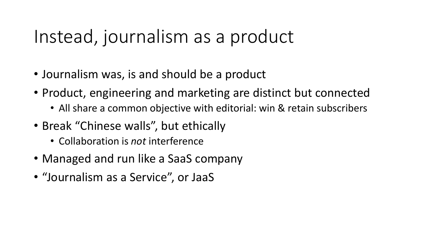### Instead, journalism as a product

- Journalism was, is and should be a product
- Product, engineering and marketing are distinct but connected
	- All share a common objective with editorial: win & retain subscribers
- Break "Chinese walls", but ethically
	- Collaboration is *not* interference
- Managed and run like a SaaS company
- "Journalism as a Service", or JaaS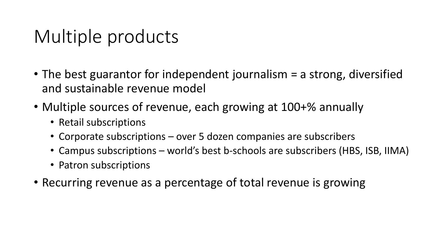## Multiple products

- The best guarantor for independent journalism = a strong, diversified and sustainable revenue model
- Multiple sources of revenue, each growing at 100+% annually
	- Retail subscriptions
	- Corporate subscriptions over 5 dozen companies are subscribers
	- Campus subscriptions world's best b-schools are subscribers (HBS, ISB, IIMA)
	- Patron subscriptions
- Recurring revenue as a percentage of total revenue is growing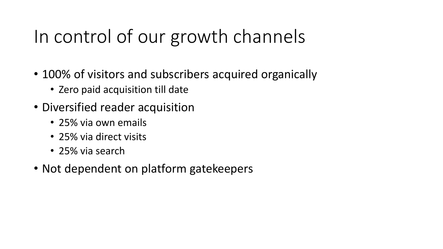## In control of our growth channels

- 100% of visitors and subscribers acquired organically
	- Zero paid acquisition till date
- Diversified reader acquisition
	- 25% via own emails
	- 25% via direct visits
	- 25% via search
- Not dependent on platform gatekeepers